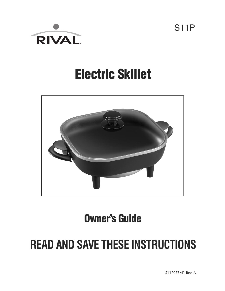

# **Electric Skillet**



## **Owner's Guide**

# **READ AND SAVE THESE INSTRUCTIONS**

S11P

S11P07EM1 Rev. A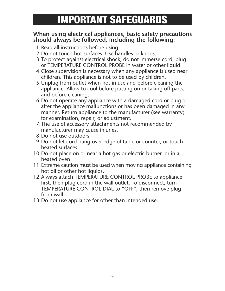# **IMPORTANT SAFEGUARDS**

#### **When using electrical appliances, basic safety precautions should always be followed, including the following:**

- 1.Read all instructions before using.
- 2.Do not touch hot surfaces. Use handles or knobs.
- 3.To protect against electrical shock, do not immerse cord, plug or TEMPERATURE CONTROL PROBE in water or other liquid.
- 4.Close supervision is necessary when any appliance is used near children. This appliance is not to be used by children.
- 5.Unplug from outlet when not in use and before cleaning the appliance. Allow to cool before putting on or taking off parts, and before cleaning.
- 6.Do not operate any appliance with a damaged cord or plug or after the appliance malfunctions or has been damaged in any manner. Return appliance to the manufacturer (see warranty) for examination, repair, or adjustment.
- 7.The use of accessory attachments not recommended by manufacturer may cause injuries.
- 8.Do not use outdoors.
- 9.Do not let cord hang over edge of table or counter, or touch heated surfaces.
- 10.Do not place on or near a hot gas or electric burner, or in a heated oven.
- 11.Extreme caution must be used when moving appliance containing hot oil or other hot liquids.
- 12.Always attach TEMPERATURE CONTROL PROBE to appliance first, then plug cord in the wall outlet. To disconnect, turn TEMPERATURE CONTROL DIAL to "OFF", then remove plug from wall.
- 13.Do not use appliance for other than intended use.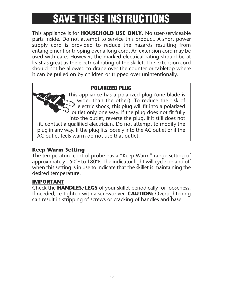# **SAVE THESE INSTRUCTIONS**

This appliance is for **HOUSEHOLD USE ONLY**. No user-serviceable parts inside. Do not attempt to service this product. A short power supply cord is provided to reduce the hazards resulting from entanglement or tripping over a long cord. An extension cord may be used with care. However, the marked electrical rating should be at least as great as the electrical rating of the skillet. The extension cord should not be allowed to drape over the counter or tabletop where it can be pulled on by children or tripped over unintentionally.

#### **POLARIZED PLUG**

This appliance has a polarized plug (one blade is wider than the other). To reduce the risk of electric shock, this plug will fit into a polarized outlet only one way. If the plug does not fit fully into the outlet, reverse the plug. If it still does not fit, contact a qualified electrician. Do not attempt to modify the plug in any way. If the plug fits loosely into the AC outlet or if the AC outlet feels warm do not use that outlet.

#### **Keep Warm Setting**

The temperature control probe has a "Keep Warm" range setting of approximately 150°F to 180°F. The indicator light will cycle on and off when this setting is in use to indicate that the skillet is maintaining the desired temperature.

#### **IMPORTANT**

Check the **HANDLES/LEGS** of your skillet periodically for looseness. If needed, re-tighten with a screwdriver. **CAUTION:** Overtightening can result in stripping of screws or cracking of handles and base.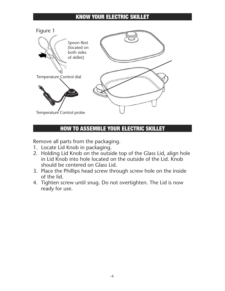#### **KNOW YOUR ELECTRIC SKILLET**



### **HOW TO ASSEMBLE YOUR ELECTRIC SKILLET**

Remove all parts from the packaging.

- 1. Locate Lid Knob in packaging.
- 2. Holding Lid Knob on the outside top of the Glass Lid, align hole in Lid Knob into hole located on the outside of the Lid. Knob should be centered on Glass Lid.
- 3. Place the Phillips head screw through screw hole on the inside of the lid.
- 4. Tighten screw until snug. Do not overtighten. The Lid is now ready for use.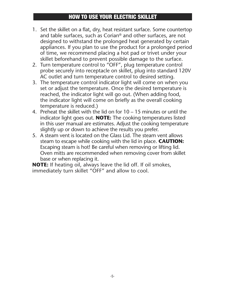#### **HOW TO USE YOUR ELECTRIC SKILLET**

- 1. Set the skillet on a flat, dry, heat resistant surface. Some countertop and table surfaces, such as Corian® and other surfaces, are not designed to withstand the prolonged heat generated by certain appliances. If you plan to use the product for a prolonged period of time, we recommend placing a hot pad or trivet under your skillet beforehand to prevent possible damage to the surface.
- 2. Turn temperature control to "OFF", plug temperature control probe securely into receptacle on skillet, plug into standard 120V AC outlet and turn temperature control to desired setting.
- 3. The temperature control indicator light will come on when you set or adjust the temperature. Once the desired temperature is reached, the indicator light will go out. (When adding food, the indicator light will come on briefly as the overall cooking temperature is reduced.)
- 4. Preheat the skillet with the lid on for 10 15 minutes or until the indicator light goes out. **NOTE:** The cooking temperatures listed in this user manual are estimates. Adjust the cooking temperature slightly up or down to achieve the results you prefer.
- 5. A steam vent is located on the Glass Lid. The steam vent allows steam to escape while cooking with the lid in place. **CAUTION:** Escaping steam is hot! Be careful when removing or lifting lid. Oven mitts are recommended when removing cover from skillet base or when replacing it.

**NOTE:** If heating oil, always leave the lid off. If oil smokes, immediately turn skillet "OFF" and allow to cool.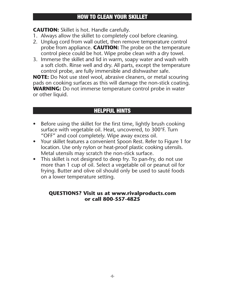#### **CAUTION:** Skillet is hot. Handle carefully.

- 1. Always allow the skillet to completely cool before cleaning.
- 2. Unplug cord from wall outlet, then remove temperature control probe from appliance. **CAUTION:** The probe on the temperature control piece could be hot. Wipe probe clean with a dry towel.
- 3. Immerse the skillet and lid in warm, soapy water and wash with a soft cloth. Rinse well and dry. All parts, except the temperature control probe, are fully immersible and dishwasher safe.

**NOTE:** Do Not use steel wool, abrasive cleaners, or metal scouring pads on cooking surfaces as this will damage the non-stick coating. **WARNING:** Do not immerse temperature control probe in water or other liquid.

## **HELPFUL HINTS**

- Before using the skillet for the first time, lightly brush cooking surface with vegetable oil. Heat, uncovered, to 300°F. Turn "OFF" and cool completely. Wipe away excess oil.
- Your skillet features a convenient Spoon Rest. Refer to Figure 1 for location. Use only nylon or heat-proof plastic cooking utensils. Metal utensils may scratch the non-stick surface.
- This skillet is not designed to deep fry. To pan-fry, do not use more than 1 cup of oil. Select a vegetable oil or peanut oil for frying. Butter and olive oil should only be used to sauté foods on a lower temperature setting.

#### **QUESTIONS? Visit us at www.rivalproducts.com or call 800-557-4825**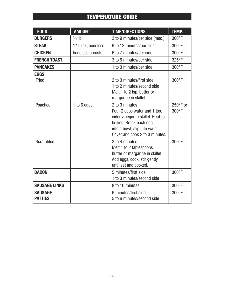## **TEMPERATURE GUIDE**

| <b>F00D</b>                      | <b>AMOUNT</b>      | <b>TIME/DIRECTIONS</b>                                                                                                                                                            | <b>TEMP.</b>      |
|----------------------------------|--------------------|-----------------------------------------------------------------------------------------------------------------------------------------------------------------------------------|-------------------|
| <b>BURGERS</b>                   | $\frac{1}{4}$ lb.  | 3 to 9 minutes/per side (med.)                                                                                                                                                    | 300°F             |
| <b>STEAK</b>                     | 1" thick, boneless | 9 to 12 minutes/per side                                                                                                                                                          | 300°F             |
| <b>CHICKEN</b>                   | boneless breasts   | 6 to 7 minutes/per side                                                                                                                                                           | 300°F             |
| <b>FRENCH TOAST</b>              |                    | 3 to 5 minutes/per side                                                                                                                                                           | 325°F             |
| <b>PANCAKES</b>                  |                    | 1 to 3 minutes/per side                                                                                                                                                           | 300°F             |
| <b>EGGS</b><br>Fried             |                    | 2 to 3 minutes/first side<br>1 to 2 minutes/second side<br>Melt 1 to 2 tsp. butter or<br>margarine in skillet                                                                     | 300°F             |
| Poached                          | 1 to 6 eggs        | 2 to 3 minutes<br>Pour 2 cups water and 1 tsp.<br>cider vinegar in skillet. Heat to<br>boiling. Break each egg<br>into a bowl; slip into water.<br>Cover and cook 2 to 3 minutes. | 250°F or<br>300°F |
| Scrambled                        |                    | 3 to 4 minutes<br>Melt 1 to 2 tablespoons<br>butter or margarine in skillet.<br>Add eggs, cook, stir gently,<br>until set and cooked.                                             | 300°F             |
| <b>BACON</b>                     |                    | 5 minutes/first side<br>1 to 3 minutes/second side                                                                                                                                | 300°F             |
| <b>SAUSAGE LINKS</b>             |                    | 8 to 10 minutes                                                                                                                                                                   | 300°F             |
| <b>SAUSAGE</b><br><b>PATTIES</b> |                    | 6 minutes/first side<br>5 to 6 minutes/second side                                                                                                                                | 300°F             |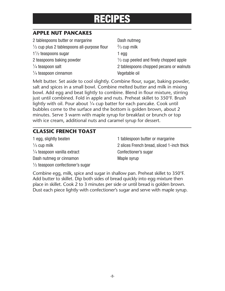## **RECIPES**

#### **APPLE NUT PANCAKES**

| 2 tablespoons butter or margarine                      | Dash nutmeg                                       |
|--------------------------------------------------------|---------------------------------------------------|
| $\frac{1}{2}$ cup plus 2 tablespoons all-purpose flour | $\frac{2}{3}$ cup milk                            |
| $1\frac{1}{2}$ teaspoons sugar                         | 1 egg                                             |
| 2 teaspoons baking powder                              | $\frac{1}{2}$ cup peeled and finely chopped apple |
| $\frac{1}{4}$ teaspoon salt                            | 2 tablespoons chopped pecans or walnuts           |
| $\frac{1}{4}$ teaspoon cinnamon                        | Vegetable oil                                     |
|                                                        |                                                   |

Melt butter. Set aside to cool slightly. Combine flour, sugar, baking powder, salt and spices in a small bowl. Combine melted butter and milk in mixing bowl. Add egg and beat lightly to combine. Blend in flour mixture, stirring just until combined. Fold in apple and nuts. Preheat skillet to 350°F. Brush lightly with oil. Pour about  $\frac{1}{4}$  cup batter for each pancake. Cook until bubbles come to the surface and the bottom is golden brown, about 2 minutes. Serve 3 warm with maple syrup for breakfast or brunch or top with ice cream, additional nuts and caramel syrup for dessert.

#### **CLASSIC FRENCH TOAST**

| 1 egg, slightly beaten                      |
|---------------------------------------------|
| $\frac{1}{3}$ cup milk                      |
| $\frac{1}{4}$ teaspoon vanilla extract      |
| Dash nutmeg or cinnamon                     |
| $\frac{1}{2}$ teaspoon confectioner's sugar |

1 tablespoon butter or margarine 2 slices French bread, sliced 1-inch thick Confectioner's sugar Maple syrup

Combine egg, milk, spice and sugar in shallow pan. Preheat skillet to 350°F. Add butter to skillet. Dip both sides of bread quickly into egg mixture then place in skillet. Cook 2 to 3 minutes per side or until bread is golden brown. Dust each piece lightly with confectioner's sugar and serve with maple syrup.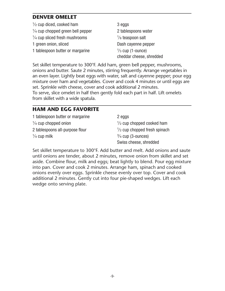#### **DENVER OMELET**

1 ⁄2 cup diced, cooked ham 3 eggs 1 ⁄4 cup chopped green bell pepper 2 tablespoons water  $\frac{1}{4}$  cup sliced fresh mushrooms  $\frac{1}{4}$ 1 green onion, sliced Dash cayenne pepper 1 tablespoon butter or margarine

 $\frac{1}{8}$  teaspoon salt  $\frac{1}{3}$  cup (1-ounce) cheddar cheese, shredded

Set skillet temperature to 300°F. Add ham, green bell pepper, mushrooms, onions and butter. Saute 2 minutes, stirring frequently. Arrange vegetables in an even layer. Lightly beat eggs with water, salt and cayenne pepper; pour egg mixture over ham and vegetables. Cover and cook 4 minutes or until eggs are set. Sprinkle with cheese, cover and cook additional 2 minutes. To serve, slice omelet in half then gently fold each part in half. Lift omelets from skillet with a wide spatula.

#### **HAM AND EGG FAVORITE**

1 tablespoon butter or margarine 2 eggs  $\frac{1}{4}$  cup chopped onion  $\frac{1}{4}$ 2 tablespoons all-purpose flour <sup>1</sup>  $\frac{1}{4}$  cup milk  $\frac{3}{4}$ 

 $\frac{1}{2}$  cup chopped cooked ham  $\frac{1}{2}$  cup chopped fresh spinach  $\frac{3}{4}$  cup (3-ounces) Swiss cheese, shredded

Set skillet temperature to 300°F. Add butter and melt. Add onions and saute until onions are tender, about 2 minutes, remove onion from skillet and set aside. Combine flour, milk and eggs; beat lightly to blend. Pour egg mixture into pan. Cover and cook 2 minutes. Arrange ham, spinach and cooked onions evenly over eggs. Sprinkle cheese evenly over top. Cover and cook additional 2 minutes. Gently cut into four pie-shaped wedges. Lift each wedge onto serving plate.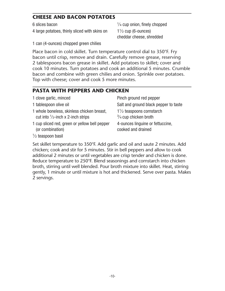#### **CHEESE AND BACON POTATOES**

6 slices bacon <sup>1</sup>

4 large potatoes, thinly sliced with skins on

 $\frac{1}{4}$  cup onion, finely chopped  $1\frac{1}{2}$  cup (6-ounces) cheddar cheese, shredded

1 can (4-ounces) chopped green chilies

Place bacon in cold skillet. Turn temperature control dial to 350°F. Fry bacon until crisp, remove and drain. Carefully remove grease, reserving 2 tablespoons bacon grease in skillet. Add potatoes to skillet; cover and cook 10 minutes. Turn potatoes and cook an additional 5 minutes. Crumble bacon and combine with green chilies and onion. Sprinkle over potatoes. Top with cheese; cover and cook 5 more minutes.

## **PASTA WITH PEPPERS AND CHICKEN**

| 1 clove garlic, minced                                            | Pinch ground red pepper                                |
|-------------------------------------------------------------------|--------------------------------------------------------|
| 1 tablespoon olive oil                                            | Salt and ground black pepper to taste                  |
| 1 whole boneless, skinless chicken breast,                        | $1\frac{1}{2}$ teaspoons cornstarch                    |
| cut into $\frac{1}{2}$ -inch x 2-inch strips                      | $\frac{3}{4}$ cup chicken broth                        |
| 1 cup sliced red, green or yellow bell pepper<br>(or combination) | 4-ounces linguine or fettuccine,<br>cooked and drained |
| $1/$ tononnon hooil                                               |                                                        |

1 ⁄2 teaspoon basil

Set skillet temperature to 350°F. Add garlic and oil and saute 2 minutes. Add chicken; cook and stir for 5 minutes. Stir in bell peppers and allow to cook additional 2 minutes or until vegetables are crisp tender and chicken is done. Reduce temperature to 250°F. Blend seasonings and cornstarch into chicken broth, stirring until well blended. Pour broth mixture into skillet. Heat, stirring gently, 1 minute or until mixture is hot and thickened. Serve over pasta. Makes 2 servings.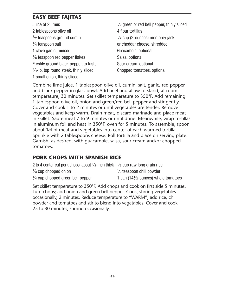#### **EASY BEEF FAJITAS**

Juice of 2 limes <sup>1</sup> 2 tablespoons olive oil 4 flour tortillas  $\frac{1}{2}$  teaspoons ground cumin  $\frac{1}{2}$  $\frac{1}{4}$  teaspoon salt 1 clove garlic, minced Guacamole, optional <sup>1</sup>/<sub>8</sub> teaspoon red pepper flakes Salsa, optional Freshly ground black pepper, to taste Sour cream, optional 3 ⁄4-lb. top round steak, thinly sliced Chopped tomatoes, optional 1 small onion, thinly sliced

 $\frac{1}{2}$  green or red bell pepper, thinly sliced  $\frac{1}{2}$  cup (2-ounces) monterey jack or cheddar cheese, shredded

Combine lime juice, 1 tablespoon olive oil, cumin, salt, garlic, red pepper and black pepper in glass bowl. Add beef and allow to stand, at room temperature, 30 minutes. Set skillet temperature to 350°F. Add remaining 1 tablespoon olive oil, onion and green/red bell pepper and stir gently. Cover and cook 1 to 2 minutes or until vegetables are tender. Remove vegetables and keep warm. Drain meat, discard marinade and place meat in skillet. Saute meat 7 to 9 minutes or until done. Meanwhile, wrap tortillas in aluminum foil and heat in 350°F. oven for 5 minutes. To assemble, spoon about 1⁄4 of meat and vegetables into center of each warmed tortilla. Sprinkle with 2 tablespoons cheese. Roll tortilla and place on serving plate. Garnish, as desired, with guacamole, salsa, sour cream and/or chopped tomatoes.

#### **PORK CHOPS WITH SPANISH RICE**

2 to 4 center cut pork chops, about  $\frac{1}{2}$ -inch thick  $\frac{1}{3}$  cup raw long grain rice  $\frac{1}{3}$  cup chopped onion  $\frac{1}{3}$  $\frac{1}{2}$  teaspoon chili powder  $\frac{1}{4}$  cup chopped green bell pepper 1 can (14<sup>1</sup>) 1 can  $(14\frac{1}{2}$ -ounces) whole tomatoes

Set skillet temperature to 350°F. Add chops and cook on first side 5 minutes. Turn chops; add onion and green bell pepper. Cook, stirring vegetables occasionally, 2 minutes. Reduce temperature to "WARM", add rice, chili powder and tomatoes and stir to blend into vegetables. Cover and cook 25 to 30 minutes, stirring occasionally.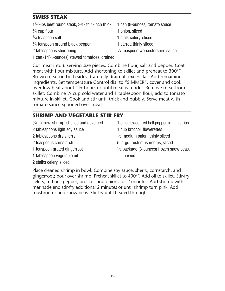### **SWISS STEAK**

| $1\frac{1}{2}$ -lbs beef round steak, $3/4$ - to 1-inch thick | 1 can (8-ounces) tomato sauce               |
|---------------------------------------------------------------|---------------------------------------------|
| $\frac{1}{4}$ cup flour                                       | 1 onion, sliced                             |
| $\frac{3}{4}$ teaspoon salt                                   | 1 stalk celery, sliced                      |
| $\frac{1}{4}$ teaspoon ground black pepper                    | 1 carrot, thinly sliced                     |
| 2 tablespoons shortening                                      | $\frac{1}{2}$ teaspoon worcestershire sauce |

1 can (141 ⁄2-ounces) stewed tomatoes, drained

Cut meat into 6 serving-size pieces. Combine flour, salt and pepper. Coat meat with flour mixture. Add shortening to skillet and preheat to 300°F. Brown meat on both sides. Carefully drain off excess fat. Add remaining ingredients. Set temperature Control dial to "SIMMER", cover and cook over low heat about 1<sup>1</sup>/<sub>2</sub> hours or until meat is tender. Remove meat from skillet. Combine  $\frac{1}{4}$  cup cold water and 1 tablespoon flour, add to tomato mixture in skillet. Cook and stir until thick and bubbly. Serve meat with tomato sauce spooned over meat.

#### **SHRIMP AND VEGETABLE STIR-FRY**

- $\frac{3}{4}$ -lb. raw, shrimp, shelled and deveined
- 2 tablespoons light soy sauce 1 cup broccoli flowerettes
- 2 tablespoons dry sherry <sup>1</sup>
- 
- 1 teaspoon grated gingerroot <sup>1</sup>
- 1 tablespoon vegetable oil thawed
- 2 stalks celery, sliced
- 1 small sweet red bell pepper, in thin strips  $\frac{1}{2}$  medium onion, thinly sliced 2 teaspoons cornstarch 5 large fresh mushrooms, sliced  $\frac{1}{2}$  package (3-ounces) frozen snow peas,

Place cleaned shrimp in bowl. Combine soy sauce, sherry, cornstarch, and gingerroot; pour over shrimp. Preheat skillet to 400°F. Add oil to skillet. Stir-fry celery, red bell pepper, broccoli and onions for 2 minutes. Add shrimp with marinade and stir-fry additional 2 minutes or until shrimp turn pink. Add mushrooms and snow peas. Stir-fry until heated through.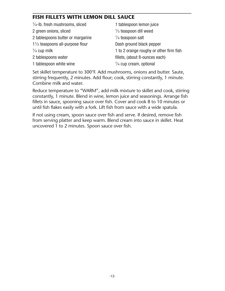#### **FISH FILLETS WITH LEMON DILL SAUCE**

| 1 tablespoon lemon juice                |
|-----------------------------------------|
| $\frac{1}{3}$ teaspoon dill weed        |
| $\frac{1}{4}$ teaspoon salt             |
| Dash ground black pepper                |
| 1 to 2 orange roughy or other firm fish |
| fillets, (about 8-ounces each)          |
| $\frac{1}{4}$ cup cream, optional       |
|                                         |

Set skillet temperature to 300°F. Add mushrooms, onions and butter. Saute, stirring frequently, 2 minutes. Add flour; cook, stirring constantly, 1 minute. Combine milk and water.

Reduce temperature to "WARM", add milk mixture to skillet and cook, stirring constantly, 1 minute. Blend in wine, lemon juice and seasonings. Arrange fish fillets in sauce, spooning sauce over fish. Cover and cook 8 to 10 minutes or until fish flakes easily with a fork. Lift fish from sauce with a wide spatula.

If not using cream, spoon sauce over fish and serve. If desired, remove fish from serving platter and keep warm. Blend cream into sauce in skillet. Heat uncovered 1 to 2 minutes. Spoon sauce over fish.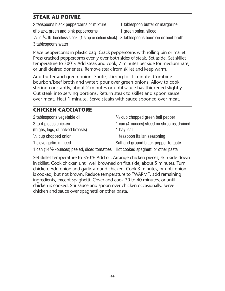## **STEAK AU POIVRE**

| 2 teaspoons black peppercorns or mixture                                                                           | 1 tablespoon butter or margarine |
|--------------------------------------------------------------------------------------------------------------------|----------------------------------|
| of black, green and pink peppercorns                                                                               | 1 green onion, sliced            |
| $\frac{1}{2}$ to $\frac{3}{4}$ -lb. boneless steak, (1 strip or sirloin steak) 3 tablespoons bourbon or beef broth |                                  |
| 3 tablespoons water                                                                                                |                                  |

Place peppercorns in plastic bag. Crack peppercorns with rolling pin or mallet. Press cracked peppercorns evenly over both sides of steak. Set aside. Set skillet temperature to 300°F. Add steak and cook, 7 minutes per side for medium-rare, or until desired doneness. Remove steak from skillet and keep warm.

Add butter and green onion. Saute, stirring for 1 minute. Combine bourbon/beef broth and water; pour over green onions. Allow to cook, stirring constantly, about 2 minutes or until sauce has thickened slightly. Cut steak into serving portions. Return steak to skillet and spoon sauce over meat. Heat 1 minute. Serve steaks with sauce spooned over meat.

#### **CHICKEN CACCIATORE**

| 2 tablespoons vegetable oil                                                                               | $\frac{1}{3}$ cup chopped green bell pepper |
|-----------------------------------------------------------------------------------------------------------|---------------------------------------------|
| 3 to 4 pieces chicken                                                                                     | 1 can (4-ounces) sliced mushrooms, drained  |
| (thighs, legs, of halved breasts)                                                                         | 1 bay leaf                                  |
| $\frac{1}{3}$ cup chopped onion                                                                           | 1 teaspoon Italian seasoning                |
| 1 clove garlic, minced                                                                                    | Salt and ground black pepper to taste       |
| 1 can (14 <sup>1</sup> / <sub>2</sub> -ounces) peeled, diced tomatoes Hot cooked spaghetti or other pasta |                                             |

Set skillet temperature to 350°F. Add oil. Arrange chicken pieces, skin side-down in skillet. Cook chicken until well browned on first side, about 5 minutes. Turn chicken. Add onion and garlic around chicken. Cook 3 minutes, or until onion is cooked, but not brown. Reduce temperature to "WARM", add remaining ingredients, except spaghetti. Cover and cook 30 to 40 minutes, or until chicken is cooked. Stir sauce and spoon over chicken occasionally. Serve chicken and sauce over spaghetti or other pasta.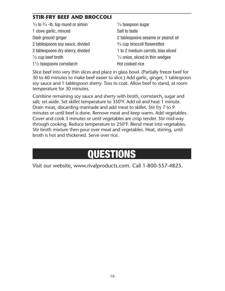### **STIR-FRY BEEF AND BROCCOLI**

| $\frac{1}{2}$ to $\frac{3}{4}$ -lb. top round or sirloin | $\frac{1}{4}$ teaspoon sugar               |
|----------------------------------------------------------|--------------------------------------------|
| 1 clove garlic, minced                                   | Salt to taste                              |
| Dash ground ginger                                       | 2 tablespoons sesame or peanut oil         |
| 2 tablespoons soy sauce, divided                         | $\frac{3}{4}$ cup broccoli flowerettes     |
| 2 tablespoons dry sherry, divided                        | 1 to 2 medium carrots, bias sliced         |
| $\frac{1}{2}$ cup beef broth                             | $\frac{1}{2}$ onion, sliced in thin wedges |
| $1\frac{1}{2}$ teaspoons cornstarch                      | Hot cooked rice                            |

Slice beef into very thin slices and place in glass bowl. (Partially freeze beef for 30 to 60 minutes to make beef easier to slice.) Add garlic, ginger, 1 tablespoon soy sauce and 1 tablespoon sherry. Toss to coat. Allow beef to stand, at room temperature for 30 minutes.

Combine remaining soy sauce and sherry with broth, cornstarch, sugar and salt; set aside. Set skillet temperature to 350°F. Add oil and heat 1 minute. Drain meat, discarding marinade and add meat to skillet. Stir fry 7 to 9 minutes or until beef is done. Remove meat and keep warm. Add vegetables. Cover and cook 3 minutes or until vegetables are crisp tender. Stir mid-way through cooking. Reduce temperature to 250°F. Blend meat into vegetables. Stir broth mixture then pour over meat and vegetables. Heat, stirring, until broth is hot and thickened. Serve over rice.

# **QUESTIONS**

Visit our website, www.rivalproducts.com. Call 1-800-557-4825.